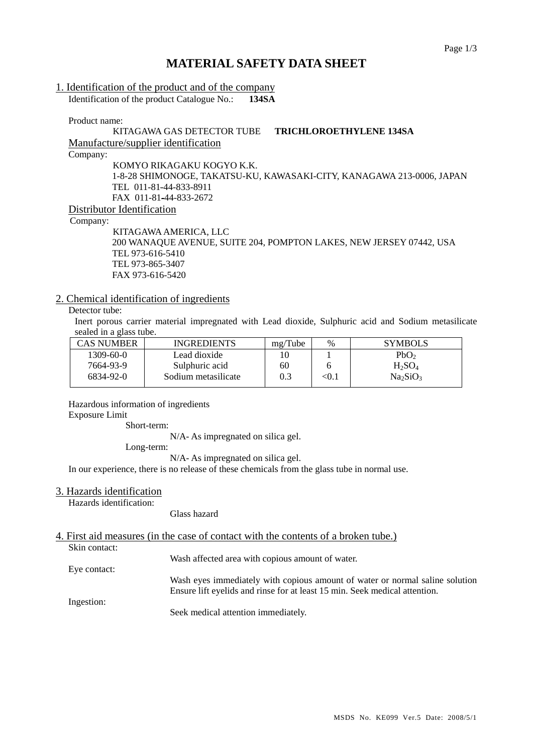# **MATERIAL SAFETY DATA SHEET**

## 1. Identification of the product and of the company

Identification of the product Catalogue No.: **134SA**

Product name:

## KITAGAWA GAS DETECTOR TUBE **TRICHLOROETHYLENE 134SA** Manufacture/supplier identification Company:

KOMYO RIKAGAKU KOGYO K.K. 1-8-28 SHIMONOGE, TAKATSU-KU, KAWASAKI-CITY, KANAGAWA 213-0006, JAPAN TEL 011-81-44-833-8911 FAX 011-81-44-833-2672 Distributor Identification

Company:

KITAGAWA AMERICA, LLC 200 WANAQUE AVENUE, SUITE 204, POMPTON LAKES, NEW JERSEY 07442, USA TEL 973-616-5410 TEL 973-865-3407 FAX 973-616-5420

## 2. Chemical identification of ingredients

## Detector tube:

Inert porous carrier material impregnated with Lead dioxide, Sulphuric acid and Sodium metasilicate sealed in a glass tube.

| <b>CAS NUMBER</b> | <b>INGREDIENTS</b>  | mg/Tube | $\%$                   | <b>SYMBOLS</b>                   |
|-------------------|---------------------|---------|------------------------|----------------------------------|
| $1309 - 60 - 0$   | Lead dioxide        |         |                        | PbO <sub>2</sub>                 |
| 7664-93-9         | Sulphuric acid      | 60      |                        | $H_2SO_4$                        |
| 6834-92-0         | Sodium metasilicate | 0.3     | $< \hspace{-0.2em}0.1$ | Na <sub>2</sub> SiO <sub>3</sub> |
|                   |                     |         |                        |                                  |

Hazardous information of ingredients

#### Exposure Limit

Short-term:

N/A- As impregnated on silica gel.

Long-term:

N/A- As impregnated on silica gel.

In our experience, there is no release of these chemicals from the glass tube in normal use.

### 3. Hazards identification

Hazards identification:

Glass hazard

## 4. First aid measures (in the case of contact with the contents of a broken tube.)

Skin contact:

Wash affected area with copious amount of water.

Eye contact: Wash eyes immediately with copious amount of water or normal saline solution Ensure lift eyelids and rinse for at least 15 min. Seek medical attention.

Ingestion:

Seek medical attention immediately.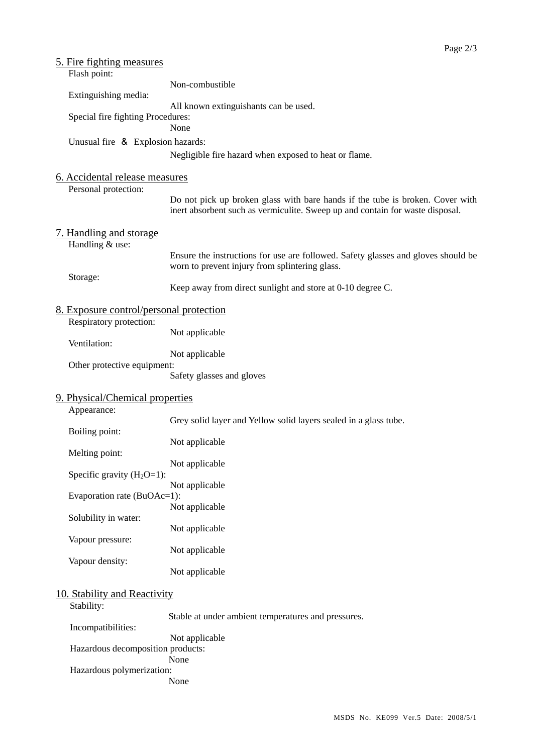| <u>5. Fire fighting measures</u><br>Flash point:       |                                                                                                                                                                |
|--------------------------------------------------------|----------------------------------------------------------------------------------------------------------------------------------------------------------------|
|                                                        | Non-combustible                                                                                                                                                |
| Extinguishing media:                                   | All known extinguishants can be used.                                                                                                                          |
| Special fire fighting Procedures:                      | None                                                                                                                                                           |
| Unusual fire & Explosion hazards:                      |                                                                                                                                                                |
|                                                        | Negligible fire hazard when exposed to heat or flame.                                                                                                          |
| 6. Accidental release measures<br>Personal protection: |                                                                                                                                                                |
|                                                        | Do not pick up broken glass with bare hands if the tube is broken. Cover with<br>inert absorbent such as vermiculite. Sweep up and contain for waste disposal. |
| 7. Handling and storage<br>Handling & use:             |                                                                                                                                                                |
|                                                        | Ensure the instructions for use are followed. Safety glasses and gloves should be<br>worn to prevent injury from splintering glass.                            |
| Storage:                                               | Keep away from direct sunlight and store at 0-10 degree C.                                                                                                     |
| 8. Exposure control/personal protection                |                                                                                                                                                                |
| Respiratory protection:                                | Not applicable                                                                                                                                                 |
| Ventilation:                                           | Not applicable                                                                                                                                                 |
| Other protective equipment:                            |                                                                                                                                                                |
|                                                        | Safety glasses and gloves                                                                                                                                      |
| 9. Physical/Chemical properties                        |                                                                                                                                                                |
| Appearance:                                            | Grey solid layer and Yellow solid layers sealed in a glass tube.                                                                                               |
| Boiling point:                                         |                                                                                                                                                                |
| Melting point:                                         | Not applicable                                                                                                                                                 |
| Specific gravity $(H_2O=1)$ :                          | Not applicable                                                                                                                                                 |
|                                                        | Not applicable                                                                                                                                                 |
| Evaporation rate (BuOAc=1):                            | Not applicable                                                                                                                                                 |
| Solubility in water:                                   |                                                                                                                                                                |
| Vapour pressure:                                       | Not applicable                                                                                                                                                 |
|                                                        | Not applicable                                                                                                                                                 |
| Vapour density:                                        | Not applicable                                                                                                                                                 |
| 10. Stability and Reactivity<br>Stability:             |                                                                                                                                                                |
|                                                        | Stable at under ambient temperatures and pressures.                                                                                                            |
| Incompatibilities:                                     | Not applicable                                                                                                                                                 |
| Hazardous decomposition products:                      |                                                                                                                                                                |
| Hazardous polymerization:                              | None                                                                                                                                                           |
|                                                        | None                                                                                                                                                           |